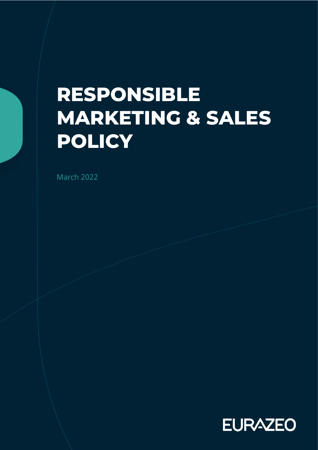# **RESPONSIBLE MARKETING & SALES POLICY**

March 2022

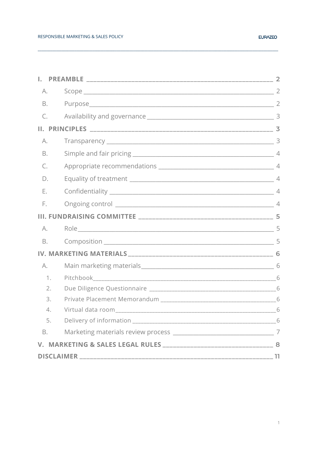| А.        |  |  |
|-----------|--|--|
| Β.        |  |  |
| C.        |  |  |
|           |  |  |
| А.        |  |  |
| Β.        |  |  |
| C.        |  |  |
| D.        |  |  |
| Ε.        |  |  |
| E.        |  |  |
|           |  |  |
| A.        |  |  |
| <b>B.</b> |  |  |
|           |  |  |
| A.        |  |  |
| 1.        |  |  |
| 2.        |  |  |
| 3.        |  |  |
| 4.        |  |  |
| 5.        |  |  |
| B.        |  |  |
|           |  |  |
|           |  |  |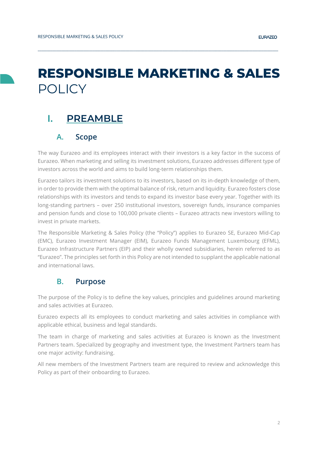## **RESPONSIBLE MARKETING & SALES**  POLICY

**\_\_\_\_\_\_\_\_\_\_\_\_\_\_\_\_\_\_\_\_\_\_\_\_\_\_\_\_\_\_\_\_\_\_\_\_\_\_\_\_\_\_\_\_\_\_\_\_\_\_\_\_\_\_\_\_\_\_\_\_\_\_\_\_\_\_\_\_\_\_\_\_\_\_\_\_\_\_\_\_\_\_\_\_\_\_\_\_\_\_\_\_\_\_\_\_\_\_\_\_\_\_\_\_\_\_\_\_\_\_\_\_\_\_\_\_\_\_\_\_\_\_\_\_\_\_\_\_\_\_\_**

## <span id="page-2-1"></span><span id="page-2-0"></span>**I. PREAMBLE**

### **A. Scope**

The way Eurazeo and its employees interact with their investors is a key factor in the success of Eurazeo. When marketing and selling its investment solutions, Eurazeo addresses different type of investors across the world and aims to build long-term relationships them.

Eurazeo tailors its investment solutions to its investors, based on its in-depth knowledge of them, in order to provide them with the optimal balance of risk, return and liquidity. Eurazeo fosters close relationships with its investors and tends to expand its investor base every year. Together with its long-standing partners – over 250 institutional investors, sovereign funds, insurance companies and pension funds and close to 100,000 private clients – Eurazeo attracts new investors willing to invest in private markets.

The Responsible Marketing & Sales Policy (the "Policy") applies to Eurazeo SE, Eurazeo Mid-Cap (EMC), Eurazeo Investment Manager (EIM), Eurazeo Funds Management Luxembourg (EFML), Eurazeo Infrastructure Partners (EIP) and their wholly owned subsidiaries, herein referred to as "Eurazeo". The principles set forth in this Policy are not intended to supplant the applicable national and international laws.

### <span id="page-2-2"></span>**B. Purpose**

The purpose of the Policy is to define the key values, principles and guidelines around marketing and sales activities at Eurazeo.

Eurazeo expects all its employees to conduct marketing and sales activities in compliance with applicable ethical, business and legal standards.

The team in charge of marketing and sales activities at Eurazeo is known as the Investment Partners team. Specialized by geography and investment type, the Investment Partners team has one major activity: fundraising.

All new members of the Investment Partners team are required to review and acknowledge this Policy as part of their onboarding to Eurazeo.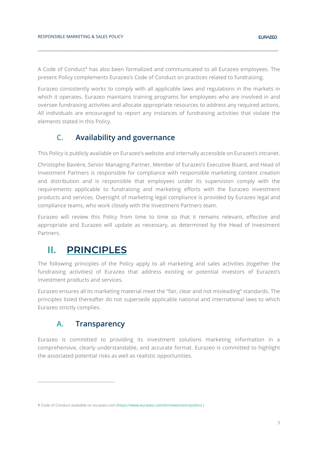A Code of Conduct<sup>[1](#page-3-3)</sup> has also been formalized and communicated to all Eurazeo employees. The present Policy complements Eurazeo's Code of Conduct on practices related to fundraising.

**\_\_\_\_\_\_\_\_\_\_\_\_\_\_\_\_\_\_\_\_\_\_\_\_\_\_\_\_\_\_\_\_\_\_\_\_\_\_\_\_\_\_\_\_\_\_\_\_\_\_\_\_\_\_\_\_\_\_\_\_\_\_\_\_\_\_\_\_\_\_\_\_\_\_\_\_\_\_\_\_\_\_\_\_\_\_\_\_\_\_\_\_\_\_\_\_\_\_\_\_\_\_\_\_\_\_\_\_\_\_\_\_\_\_\_\_\_\_\_\_\_\_\_\_\_\_\_\_\_\_\_**

Eurazeo consistently works to comply with all applicable laws and regulations in the markets in which it operates. Eurazeo maintains training programs for employees who are involved in and oversee fundraising activities and allocate appropriate resources to address any required actions. All individuals are encouraged to report any instances of fundraising activities that violate the elements stated in this Policy.

### <span id="page-3-0"></span>**C. Availability and governance**

This Policy is publicly available on Eurazeo's website and internally accessible on Eurazeo's intranet.

Christophe Bavière, Senior Managing Partner, Member of Eurazeo's Executive Board, and Head of Investment Partners is responsible for compliance with responsible marketing content creation and distribution and is responsible that employees under its supervision comply with the requirements applicable to fundraising and marketing efforts with the Eurazeo investment products and services. Oversight of marketing legal compliance is provided by Eurazeo legal and compliance teams, who work closely with the Investment Partners team.

Eurazeo will review this Policy from time to time so that it remains relevant, effective and appropriate and Eurazeo will update as necessary, as determined by the Head of Investment Partners.

## <span id="page-3-1"></span>**II. PRINCIPLES**

The following principles of the Policy apply to all marketing and sales activities (together the fundraising activities) of Eurazeo that address existing or potential investors of Eurazeo's investment products and services.

Eurazeo ensures all its marketing material meet the "fair, clear and not misleading" standards. The principles listed thereafter do not supersede applicable national and international laws to which Eurazeo strictly complies.

## <span id="page-3-2"></span>**A. Transparency**

Eurazeo is committed to providing its investment solutions marketing information in a comprehensive, clearly understandable, and accurate format. Eurazeo is committed to highlight the associated potential risks as well as realistic opportunities.

<span id="page-3-3"></span><sup>1</sup> Code of Conduct available on eurazeo.com [\(https://www.eurazeo.com/en/newsroom/politics](https://www.eurazeo.com/en/newsroom/politics) )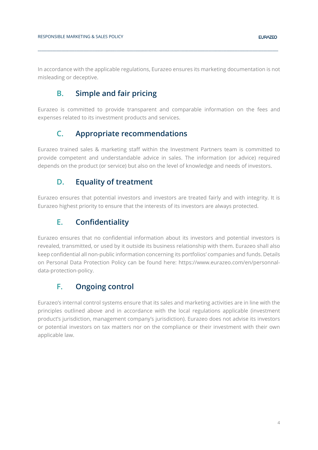<span id="page-4-0"></span>In accordance with the applicable regulations, Eurazeo ensures its marketing documentation is not misleading or deceptive.

**\_\_\_\_\_\_\_\_\_\_\_\_\_\_\_\_\_\_\_\_\_\_\_\_\_\_\_\_\_\_\_\_\_\_\_\_\_\_\_\_\_\_\_\_\_\_\_\_\_\_\_\_\_\_\_\_\_\_\_\_\_\_\_\_\_\_\_\_\_\_\_\_\_\_\_\_\_\_\_\_\_\_\_\_\_\_\_\_\_\_\_\_\_\_\_\_\_\_\_\_\_\_\_\_\_\_\_\_\_\_\_\_\_\_\_\_\_\_\_\_\_\_\_\_\_\_\_\_\_\_\_**

## **B. Simple and fair pricing**

<span id="page-4-1"></span>Eurazeo is committed to provide transparent and comparable information on the fees and expenses related to its investment products and services.

### **C. Appropriate recommendations**

Eurazeo trained sales & marketing staff within the Investment Partners team is committed to provide competent and understandable advice in sales. The information (or advice) required depends on the product (or service) but also on the level of knowledge and needs of investors.

### <span id="page-4-2"></span>**D. Equality of treatment**

<span id="page-4-3"></span>Eurazeo ensures that potential investors and investors are treated fairly and with integrity. It is Eurazeo highest priority to ensure that the interests of its investors are always protected.

## **E. Confidentiality**

Eurazeo ensures that no confidential information about its investors and potential investors is revealed, transmitted, or used by it outside its business relationship with them. Eurazeo shall also keep confidential all non-public information concerning its portfolios' companies and funds. Details on Personal Data Protection Policy can be found here: [https://www.eurazeo.com/en/personnal](https://www.eurazeo.com/en/personnal-data-protection-policy)[data-protection-policy.](https://www.eurazeo.com/en/personnal-data-protection-policy)

## <span id="page-4-4"></span>**F. Ongoing control**

Eurazeo's internal control systems ensure that its sales and marketing activities are in line with the principles outlined above and in accordance with the local regulations applicable (investment product's jurisdiction, management company's jurisdiction). Eurazeo does not advise its investors or potential investors on tax matters nor on the compliance or their investment with their own applicable law.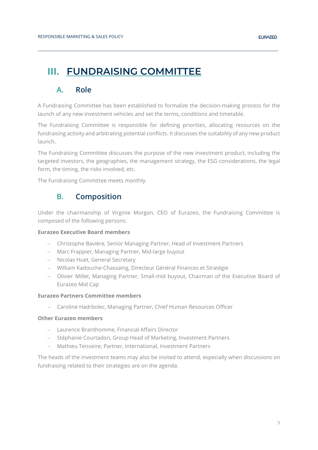## <span id="page-5-1"></span><span id="page-5-0"></span>**III. FUNDRAISING COMMITTEE**

## **A. Role**

A Fundraising Committee has been established to formalize the decision-making process for the launch of any new investment vehicles and set the terms, conditions and timetable.

**\_\_\_\_\_\_\_\_\_\_\_\_\_\_\_\_\_\_\_\_\_\_\_\_\_\_\_\_\_\_\_\_\_\_\_\_\_\_\_\_\_\_\_\_\_\_\_\_\_\_\_\_\_\_\_\_\_\_\_\_\_\_\_\_\_\_\_\_\_\_\_\_\_\_\_\_\_\_\_\_\_\_\_\_\_\_\_\_\_\_\_\_\_\_\_\_\_\_\_\_\_\_\_\_\_\_\_\_\_\_\_\_\_\_\_\_\_\_\_\_\_\_\_\_\_\_\_\_\_\_\_**

The Fundraising Committee is responsible for defining priorities, allocating resources on the fundraising activity and arbitrating potential conflicts. It discusses the suitability of any new product launch.

The Fundraising Committee discusses the purpose of the new investment product, including the targeted investors, the geographies, the management strategy, the ESG considerations, the legal form, the timing, the risks involved, etc.

<span id="page-5-2"></span>The Fundraising Committee meets monthly.

### **B. Composition**

Under the chairmanship of Virginie Morgon, CEO of Eurazeo, the Fundraising Committee is composed of the following persons:

#### **Eurazeo Executive Board members**

- − Christophe Bavière, Senior Managing Partner, Head of Investment Partners
- − Marc Frappier, Managing Partner, Mid-large buyout
- − Nicolas Huet, General Secretary
- − William Kadouche-Chassaing, Directeur Général Finances et Stratégie
- − Olivier Millet, Managing Partner, Small-mid buyout, Chairman of the Executive Board of Eurazeo Mid Cap

#### **Eurazeo Partners Committee members**

− Caroline Hadrbolec, Managing Partner, Chief Human Resources Officer

#### **Other Eurazeo members**

- − Laurence Branthomme, Financial Affairs Director
- − Stéphanie Courtadon, Group Head of Marketing, Investment Partners
- − Mathieu Teisseire, Partner, International, Investment Partners

The heads of the investment teams may also be invited to attend, especially when discussions on fundraising related to their strategies are on the agenda.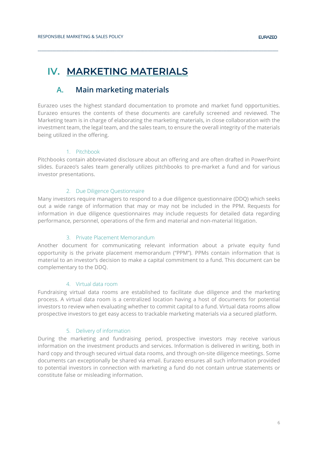## <span id="page-6-1"></span><span id="page-6-0"></span>**IV. MARKETING MATERIALS**

## **A. Main marketing materials**

Eurazeo uses the highest standard documentation to promote and market fund opportunities. Eurazeo ensures the contents of these documents are carefully screened and reviewed. The Marketing team is in charge of elaborating the marketing materials, in close collaboration with the investment team, the legal team, and the sales team, to ensure the overall integrity of the materials being utilized in the offering.

**\_\_\_\_\_\_\_\_\_\_\_\_\_\_\_\_\_\_\_\_\_\_\_\_\_\_\_\_\_\_\_\_\_\_\_\_\_\_\_\_\_\_\_\_\_\_\_\_\_\_\_\_\_\_\_\_\_\_\_\_\_\_\_\_\_\_\_\_\_\_\_\_\_\_\_\_\_\_\_\_\_\_\_\_\_\_\_\_\_\_\_\_\_\_\_\_\_\_\_\_\_\_\_\_\_\_\_\_\_\_\_\_\_\_\_\_\_\_\_\_\_\_\_\_\_\_\_\_\_\_\_**

#### 1. Pitchbook

<span id="page-6-2"></span>Pitchbooks contain abbreviated disclosure about an offering and are often drafted in PowerPoint slides. Eurazeo's sales team generally utilizes pitchbooks to pre-market a fund and for various investor presentations.

#### 2. Due Diligence Questionnaire

<span id="page-6-3"></span>Many investors require managers to respond to a due diligence questionnaire (DDQ) which seeks out a wide range of information that may or may not be included in the PPM. Requests for information in due diligence questionnaires may include requests for detailed data regarding performance, personnel, operations of the firm and material and non-material litigation.

#### 3. Private Placement Memorandum

<span id="page-6-4"></span>Another document for communicating relevant information about a private equity fund opportunity is the private placement memorandum ("PPM"). PPMs contain information that is material to an investor's decision to make a capital commitment to a fund. This document can be complementary to the DDQ.

#### 4. Virtual data room

<span id="page-6-5"></span>Fundraising virtual data rooms are established to facilitate due diligence and the marketing process. A virtual data room is a centralized location having a host of documents for potential investors to review when evaluating whether to commit capital to a fund. Virtual data rooms allow prospective investors to get easy access to trackable marketing materials via a secured platform.

#### 5. Delivery of information

<span id="page-6-6"></span>During the marketing and fundraising period, prospective investors may receive various information on the investment products and services. Information is delivered in writing, both in hard copy and through secured virtual data rooms, and through on-site diligence meetings. Some documents can exceptionally be shared via email. Eurazeo ensures all such information provided to potential investors in connection with marketing a fund do not contain untrue statements or constitute false or misleading information.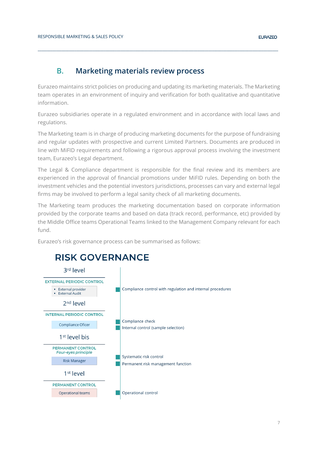### **B. Marketing materials review process**

<span id="page-7-0"></span>Eurazeo maintains strict policies on producing and updating its marketing materials. The Marketing team operates in an environment of inquiry and verification for both qualitative and quantitative information.

**\_\_\_\_\_\_\_\_\_\_\_\_\_\_\_\_\_\_\_\_\_\_\_\_\_\_\_\_\_\_\_\_\_\_\_\_\_\_\_\_\_\_\_\_\_\_\_\_\_\_\_\_\_\_\_\_\_\_\_\_\_\_\_\_\_\_\_\_\_\_\_\_\_\_\_\_\_\_\_\_\_\_\_\_\_\_\_\_\_\_\_\_\_\_\_\_\_\_\_\_\_\_\_\_\_\_\_\_\_\_\_\_\_\_\_\_\_\_\_\_\_\_\_\_\_\_\_\_\_\_\_**

Eurazeo subsidiaries operate in a regulated environment and in accordance with local laws and regulations.

The Marketing team is in charge of producing marketing documents for the purpose of fundraising and regular updates with prospective and current Limited Partners. Documents are produced in line with MiFID requirements and following a rigorous approval process involving the investment team, Eurazeo's Legal department.

The Legal & Compliance department is responsible for the final review and its members are experienced in the approval of financial promotions under MiFID rules. Depending on both the investment vehicles and the potential investors jurisdictions, processes can vary and external legal firms may be involved to perform a legal sanity check of all marketing documents.

The Marketing team produces the marketing documentation based on corporate information provided by the corporate teams and based on data (track record, performance, etc) provided by the Middle Office teams Operational Teams linked to the Management Company relevant for each fund.

Eurazeo's risk governance process can be summarised as follows:



## <span id="page-7-1"></span>**RISK GOVERNANCE**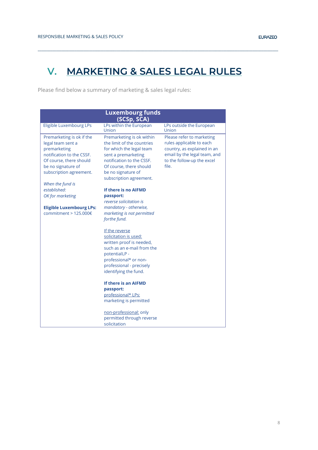## **V. MARKETING & SALES LEGAL RULES**

**\_\_\_\_\_\_\_\_\_\_\_\_\_\_\_\_\_\_\_\_\_\_\_\_\_\_\_\_\_\_\_\_\_\_\_\_\_\_\_\_\_\_\_\_\_\_\_\_\_\_\_\_\_\_\_\_\_\_\_\_\_\_\_\_\_\_\_\_\_\_\_\_\_\_\_\_\_\_\_\_\_\_\_\_\_\_\_\_\_\_\_\_\_\_\_\_\_\_\_\_\_\_\_\_\_\_\_\_\_\_\_\_\_\_\_\_\_\_\_\_\_\_\_\_\_\_\_\_\_\_\_**

Please find below a summary of marketing & sales legal rules:

| <b>Luxembourg funds</b><br>(SCSp, SCA)                                                                                                                                                      |                                                                                                                                                                                                                     |                                                                                                                                                             |  |  |  |
|---------------------------------------------------------------------------------------------------------------------------------------------------------------------------------------------|---------------------------------------------------------------------------------------------------------------------------------------------------------------------------------------------------------------------|-------------------------------------------------------------------------------------------------------------------------------------------------------------|--|--|--|
| Eligible Luxembourg LPs                                                                                                                                                                     | LPs within the European<br>Union                                                                                                                                                                                    | LPs outside the European<br>Union                                                                                                                           |  |  |  |
| Premarketing is ok if the<br>legal team sent a<br>premarketing<br>notification to the CSSF.<br>Of course, there should<br>be no signature of<br>subscription agreement.<br>When the fund is | Premarketing is ok within<br>the limit of the countries<br>for which the legal team<br>sent a premarketing<br>notification to the CSSF.<br>Of course, there should<br>be no signature of<br>subscription agreement. | Please refer to marketing<br>rules applicable to each<br>country, as explained in an<br>email by the legal team, and<br>to the follow-up the excel<br>file. |  |  |  |
| established:<br>OK for marketing<br><b>Eligible Luxembourg LPs:</b><br>commitment > 125.000€                                                                                                | If there is no AIFMD<br>passport:<br>reverse solicitation is<br>mandatory - otherwise,<br>marketing is not permitted<br>forthe fund.                                                                                |                                                                                                                                                             |  |  |  |
|                                                                                                                                                                                             | If the reverse<br>solicitation is used:<br>written proof is needed,<br>such as an e-mail from the<br>potentialLP -<br>professional* or non-<br>professional - precisely<br>identifying the fund.                    |                                                                                                                                                             |  |  |  |
|                                                                                                                                                                                             | If there is an AIFMD<br>passport:<br>professional* LPs:<br>marketing is permitted                                                                                                                                   |                                                                                                                                                             |  |  |  |
|                                                                                                                                                                                             | non-professional: only<br>permitted through reverse<br>solicitation                                                                                                                                                 |                                                                                                                                                             |  |  |  |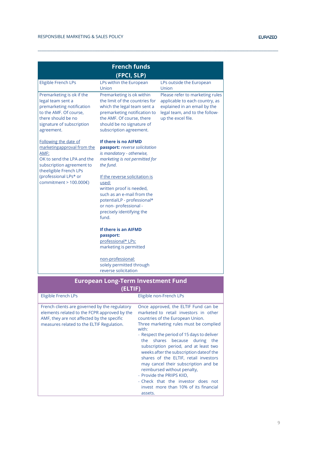| <b>French funds</b>                                                                                                                                                                                            |                                                                                                                                                                                                                                                                                                                                                                                                                                                                              |                        |                                                                                                                                                                                                                                                                                                                                                                                                                                                                                                                                                                |  |  |  |
|----------------------------------------------------------------------------------------------------------------------------------------------------------------------------------------------------------------|------------------------------------------------------------------------------------------------------------------------------------------------------------------------------------------------------------------------------------------------------------------------------------------------------------------------------------------------------------------------------------------------------------------------------------------------------------------------------|------------------------|----------------------------------------------------------------------------------------------------------------------------------------------------------------------------------------------------------------------------------------------------------------------------------------------------------------------------------------------------------------------------------------------------------------------------------------------------------------------------------------------------------------------------------------------------------------|--|--|--|
| (FPCI, SLP)                                                                                                                                                                                                    |                                                                                                                                                                                                                                                                                                                                                                                                                                                                              |                        |                                                                                                                                                                                                                                                                                                                                                                                                                                                                                                                                                                |  |  |  |
| <b>Eligible French LPs</b>                                                                                                                                                                                     | LPs within the European<br>Union                                                                                                                                                                                                                                                                                                                                                                                                                                             |                        | LPs outside the European<br>Union                                                                                                                                                                                                                                                                                                                                                                                                                                                                                                                              |  |  |  |
| Premarketing is ok if the<br>legal team sent a<br>premarketing notification<br>to the AMF. Of course,<br>there should be no<br>signature of subscription<br>agreement.                                         | Premarketing is ok within<br>the limit of the countries for<br>which the legal team sent a<br>premarketing notification to<br>the AMF. Of course, there<br>should be no signature of<br>subscription agreement.                                                                                                                                                                                                                                                              |                        | Please refer to marketing rules<br>applicable to each country, as<br>explained in an email by the<br>legal team, and to the follow-<br>up the excel file.                                                                                                                                                                                                                                                                                                                                                                                                      |  |  |  |
| Following the date of<br>marketingapproval from the<br>AMF:<br>OK to send the LPA and the<br>subscription agreement to<br>theeligible French LPs<br>(professional LPs* or<br>commitment > $100.000 \text{E}$ ) | If there is no AIFMD<br>passport: reverse solicitation<br>is mandatory - otherwise,<br>marketing is not permitted for<br>the fund.<br>If the reverse solicitation is<br>used:<br>written proof is needed,<br>such as an e-mail from the<br>potentialLP - professional*<br>or non- professional -<br>precisely identifying the<br>fund.<br>If there is an AIFMD<br>passport:<br>professional* LPs:<br>marketing is permitted<br>non-professional:<br>solely permitted through |                        |                                                                                                                                                                                                                                                                                                                                                                                                                                                                                                                                                                |  |  |  |
|                                                                                                                                                                                                                | reverse solicitation<br><b>European Long-Term Investment Fund</b>                                                                                                                                                                                                                                                                                                                                                                                                            |                        |                                                                                                                                                                                                                                                                                                                                                                                                                                                                                                                                                                |  |  |  |
|                                                                                                                                                                                                                | (ELTIF)                                                                                                                                                                                                                                                                                                                                                                                                                                                                      |                        |                                                                                                                                                                                                                                                                                                                                                                                                                                                                                                                                                                |  |  |  |
| Eligible French LPs                                                                                                                                                                                            |                                                                                                                                                                                                                                                                                                                                                                                                                                                                              |                        | Eligible non-French LPs                                                                                                                                                                                                                                                                                                                                                                                                                                                                                                                                        |  |  |  |
| French clients are governed by the regulatory<br>elements related to the FCPR approved by the<br>AMF, they are not affected by the specific<br>measures related to the ELTIF Regulation.                       |                                                                                                                                                                                                                                                                                                                                                                                                                                                                              | with:<br>the<br>219226 | Once approved, the ELTIF Fund can be<br>marketed to retail investors in other<br>countries of the European Union.<br>Three marketing rules must be complied<br>- Respect the period of 15 days to deliver<br>shares<br>because<br>during the<br>subscription period, and at least two<br>weeks after the subscription date of the<br>shares of the ELTIF, retail investors<br>may cancel their subscription and be<br>reimbursed without penalty,<br>- Provide the PRIIPS KIID,<br>- Check that the investor does not<br>invest more than 10% of its financial |  |  |  |

assets.

**\_\_\_\_\_\_\_\_\_\_\_\_\_\_\_\_\_\_\_\_\_\_\_\_\_\_\_\_\_\_\_\_\_\_\_\_\_\_\_\_\_\_\_\_\_\_\_\_\_\_\_\_\_\_\_\_\_\_\_\_\_\_\_\_\_\_\_\_\_\_\_\_\_\_\_\_\_\_\_\_\_\_\_\_\_\_\_\_\_\_\_\_\_\_\_\_\_\_\_\_\_\_\_\_\_\_\_\_\_\_\_\_\_\_\_\_\_\_\_\_\_\_\_\_\_\_\_\_\_\_\_**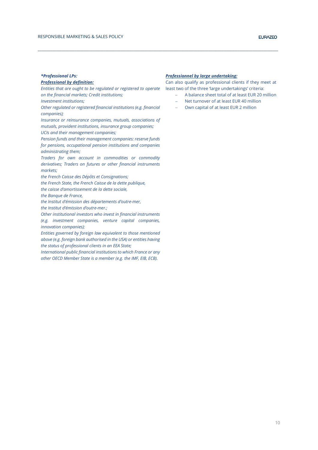#### *\*Professional LPs:*

#### *Professional by definition:*

*Entities that are ought to be regulated or registered to operate on the financial markets; Credit institutions;*

*Investment institutions;*

*Other regulated or registered financial institutions (e.g. financial companies);*

*Insurance or reinsurance companies, mutuals, associations of mutuals, provident institutions, insurance group companies; UCIs and their management companies;*

*Pension funds and their management companies: reserve funds for pensions, occupational pension institutions and companies administrating them;*

*Traders for own account in commodities or commodity derivatives; Traders on futures or other financial instruments markets;* 

*the French Caisse des Dépôts et Consignations;* 

*the French State, the French Caisse de la dette publique,* 

*the caisse d'amortissement de la dette sociale,* 

*the Banque de France,* 

*the Institut d'émission des départements d'outre-mer,* 

*the Institut d'émission d'outre-mer.;* 

*Other institutional investors who invest in financial instruments (e.g. investment companies, venture capital companies, innovation companies);*

*Entities governed by foreign law equivalent to those mentioned above (e.g. foreign bank authorised in the USA) or entities having the status of professional clients in an EEA State;*

*International public financial institutions to which France or any other OECD Member State is a member (e.g. the IMF, EIB, ECB).*

#### *Professionnel by large undertaking:*

**\_\_\_\_\_\_\_\_\_\_\_\_\_\_\_\_\_\_\_\_\_\_\_\_\_\_\_\_\_\_\_\_\_\_\_\_\_\_\_\_\_\_\_\_\_\_\_\_\_\_\_\_\_\_\_\_\_\_\_\_\_\_\_\_\_\_\_\_\_\_\_\_\_\_\_\_\_\_\_\_\_\_\_\_\_\_\_\_\_\_\_\_\_\_\_\_\_\_\_\_\_\_\_\_\_\_\_\_\_\_\_\_\_\_\_\_\_\_\_\_\_\_\_\_\_\_\_\_\_\_\_**

Can also qualify as professional clients if they meet at least two of the three 'large undertakings' criteria:

- − A balance sheet total of at least EUR 20 million
- Net turnover of at least EUR 40 million
- − Own capital of at least EUR 2 million